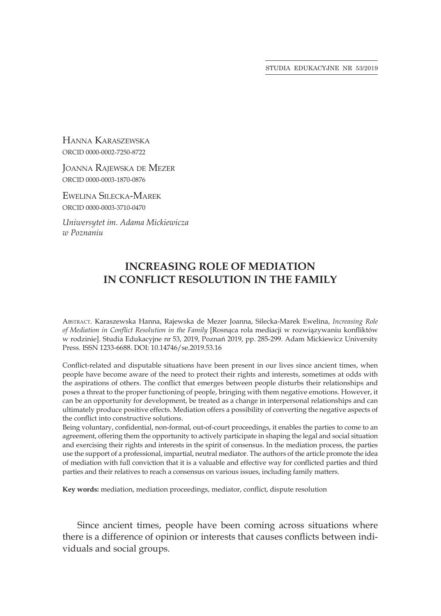STUDIA EDUKACYJNE NR 53/2019

Hanna Karaszewska ORCID 0000-0002-7250-8722

Joanna Rajewska de Mezer ORCID 0000-0003-1870-0876

Ewelina Silecka-Marek ORCID 0000-0003-3710-0470

*Uniwersytet im. Adama Mickiewicza w Poznaniu*

## **INCREASING ROLE OF MEDIATION IN CONFLICT RESOLUTION IN THE FAMILY**

Abstract. Karaszewska Hanna, Rajewska de Mezer Joanna, Silecka-Marek Ewelina, *Increasing Role of Mediation in Conflict Resolution in the Family* [Rosnąca rola mediacji w rozwiązywaniu konfliktów w rodzinie]. Studia Edukacyjne nr 53, 2019, Poznań 2019, pp. 285-299. Adam Mickiewicz University Press. ISSN 1233-6688. DOI: 10.14746/se.2019.53.16

Conflict-related and disputable situations have been present in our lives since ancient times, when people have become aware of the need to protect their rights and interests, sometimes at odds with the aspirations of others. The conflict that emerges between people disturbs their relationships and poses a threat to the proper functioning of people, bringing with them negative emotions. However, it can be an opportunity for development, be treated as a change in interpersonal relationships and can ultimately produce positive effects. Mediation offers a possibility of converting the negative aspects of the conflict into constructive solutions.

Being voluntary, confidential, non-formal, out-of-court proceedings, it enables the parties to come to an agreement, offering them the opportunity to actively participate in shaping the legal and social situation and exercising their rights and interests in the spirit of consensus. In the mediation process, the parties use the support of a professional, impartial, neutral mediator. The authors of the article promote the idea of mediation with full conviction that it is a valuable and effective way for conflicted parties and third parties and their relatives to reach a consensus on various issues, including family matters.

**Key words:** mediation, mediation proceedings, mediator, conflict, dispute resolution

Since ancient times, people have been coming across situations where there is a difference of opinion or interests that causes conflicts between individuals and social groups.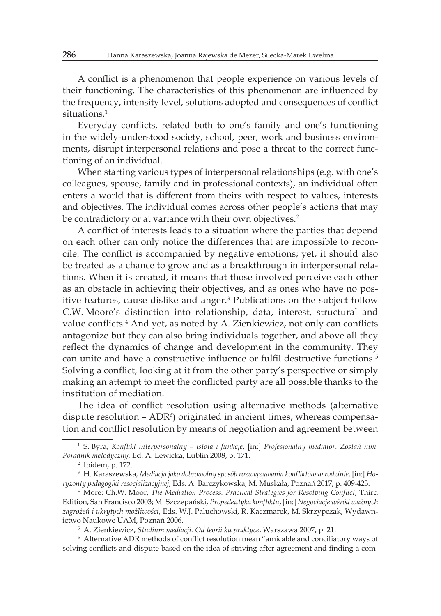A conflict is a phenomenon that people experience on various levels of their functioning. The characteristics of this phenomenon are influenced by the frequency, intensity level, solutions adopted and consequences of conflict situations.<sup>1</sup>

Everyday conflicts, related both to one's family and one's functioning in the widely-understood society, school, peer, work and business environments, disrupt interpersonal relations and pose a threat to the correct functioning of an individual.

When starting various types of interpersonal relationships (e.g. with one's colleagues, spouse, family and in professional contexts), an individual often enters a world that is different from theirs with respect to values, interests and objectives. The individual comes across other people's actions that may be contradictory or at variance with their own objectives.<sup>2</sup>

A conflict of interests leads to a situation where the parties that depend on each other can only notice the differences that are impossible to reconcile. The conflict is accompanied by negative emotions; yet, it should also be treated as a chance to grow and as a breakthrough in interpersonal relations. When it is created, it means that those involved perceive each other as an obstacle in achieving their objectives, and as ones who have no positive features, cause dislike and anger.<sup>3</sup> Publications on the subject follow C.W. Moore's distinction into relationship, data, interest, structural and value conflicts.<sup>4</sup> And yet, as noted by A. Zienkiewicz, not only can conflicts antagonize but they can also bring individuals together, and above all they reflect the dynamics of change and development in the community. They can unite and have a constructive influence or fulfil destructive functions.<sup>5</sup> Solving a conflict, looking at it from the other party's perspective or simply making an attempt to meet the conflicted party are all possible thanks to the institution of mediation.

The idea of conflict resolution using alternative methods (alternative dispute resolution  $-$  ADR<sup>6</sup>) originated in ancient times, whereas compensation and conflict resolution by means of negotiation and agreement between

<sup>5</sup> A. Zienkiewicz, *Studium mediacji. Od teorii ku praktyce*, Warszawa 2007, p. 21.

<sup>6</sup> Alternative ADR methods of conflict resolution mean "amicable and conciliatory ways of solving conflicts and dispute based on the idea of striving after agreement and finding a com-

<sup>1</sup> S. Byra, *Konflikt interpersonalny – istota i funkcje*, [in:] *Profesjonalny mediator. Zostań nim. Poradnik metodyczny*, Ed. A. Lewicka, Lublin 2008, p. 171.

<sup>2</sup> Ibidem, p. 172.

<sup>3</sup> H. Karaszewska, *Mediacja jako dobrowolny sposób rozwiązywania konfliktów w rodzinie*, [in:] *Horyzonty pedagogiki resocjalizacyjnej*, Eds. A. Barczykowska, M. Muskała, Poznań 2017, p. 409-423.

<sup>4</sup> More: Ch.W. Moor, *The Mediation Process. Practical Strategies for Resolving Conflict*, Third Edition, San Francisco 2003; M. Szczepański, *Propedeutyka konfliktu*, [in:] *Negocjacje wśród ważnych zagrożeń i ukrytych możliwości*, Eds. W.J. Paluchowski, R. Kaczmarek, M. Skrzypczak, Wydawnictwo Naukowe UAM, Poznań 2006.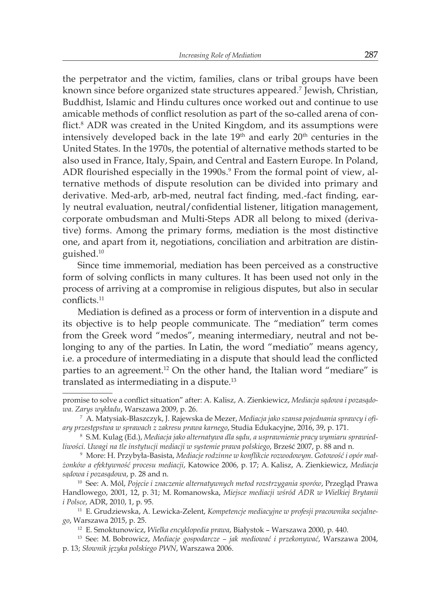the perpetrator and the victim, families, clans or tribal groups have been known since before organized state structures appeared.<sup>7</sup> Jewish, Christian, Buddhist, Islamic and Hindu cultures once worked out and continue to use amicable methods of conflict resolution as part of the so-called arena of conflict.<sup>8</sup> ADR was created in the United Kingdom, and its assumptions were intensively developed back in the late  $19<sup>th</sup>$  and early  $20<sup>th</sup>$  centuries in the United States. In the 1970s, the potential of alternative methods started to be also used in France, Italy, Spain, and Central and Eastern Europe. In Poland, ADR flourished especially in the 1990s.<sup>9</sup> From the formal point of view, alternative methods of dispute resolution can be divided into primary and derivative. Med-arb, arb-med, neutral fact finding, med.-fact finding, early neutral evaluation, neutral/confidential listener, litigation management, corporate ombudsman and Multi-Steps ADR all belong to mixed (derivative) forms. Among the primary forms, mediation is the most distinctive one, and apart from it, negotiations, conciliation and arbitration are distinguished.<sup>10</sup>

Since time immemorial, mediation has been perceived as a constructive form of solving conflicts in many cultures. It has been used not only in the process of arriving at a compromise in religious disputes, but also in secular conflicts.<sup>11</sup>

Mediation is defined as a process or form of intervention in a dispute and its objective is to help people communicate. The "mediation" term comes from the Greek word "medos", meaning intermediary, neutral and not belonging to any of the parties. In Latin, the word "mediatio" means agency, i.e. a procedure of intermediating in a dispute that should lead the conflicted parties to an agreement.<sup>12</sup> On the other hand, the Italian word "mediare" is translated as intermediating in a dispute.<sup>13</sup>

<sup>13</sup> See: M. Bobrowicz, *Mediacje gospodarcze – jak mediować i przekonywać*, Warszawa 2004, p. 13; *Słownik języka polskiego PWN*, Warszawa 2006.

promise to solve a conflict situation" after: A. Kalisz, A. Zienkiewicz, *Mediacja sądowa i pozasądowa. Zarys wykładu*, Warszawa 2009, p. 26.

<sup>7</sup> A. Matysiak-Błaszczyk, J. Rajewska de Mezer, *Mediacja jako szansa pojednania sprawcy i ofiary przestępstwa w sprawach z zakresu prawa karnego*, Studia Edukacyjne, 2016, 39, p. 171.

<sup>8</sup> S.M. Kulag (Ed.), *Mediacja jako alternatywa dla sądu, a usprawnienie pracy wymiaru sprawiedliwości. Uwagi na tle instytucji mediacji w systemie prawa polskiego*, Brześć 2007, p. 88 and n.

<sup>9</sup> More: H. Przybyła-Basista, *Mediacje rodzinne w konflikcie rozwodowym. Gotowość i opór małżonków a efektywność procesu mediacji*, Katowice 2006, p. 17; A. Kalisz, A. Zienkiewicz, *Mediacja sądowa i pozasądowa*, p. 28 and n.

<sup>10</sup> See: A. Mól, *Pojęcie i znaczenie alternatywnych metod rozstrzygania sporów*, Przegląd Prawa Handlowego, 2001, 12, p. 31; M. Romanowska, *Miejsce mediacji wśród ADR w Wielkiej Brytanii i Polsce*, ADR, 2010, 1, p. 95.

<sup>11</sup> E. Grudziewska, A. Lewicka-Zelent, *Kompetencje mediacyjne w profesji pracownika socjalnego*, Warszawa 2015, p. 25.

<sup>12</sup> E. Smoktunowicz, *Wielka encyklopedia prawa*, Białystok – Warszawa 2000, p. 440.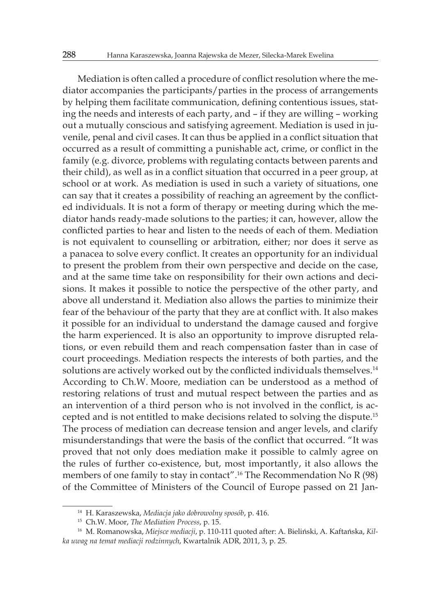Mediation is often called a procedure of conflict resolution where the mediator accompanies the participants/parties in the process of arrangements by helping them facilitate communication, defining contentious issues, stating the needs and interests of each party, and – if they are willing – working out a mutually conscious and satisfying agreement. Mediation is used in juvenile, penal and civil cases. It can thus be applied in a conflict situation that occurred as a result of committing a punishable act, crime, or conflict in the family (e.g. divorce, problems with regulating contacts between parents and their child), as well as in a conflict situation that occurred in a peer group, at school or at work. As mediation is used in such a variety of situations, one can say that it creates a possibility of reaching an agreement by the conflicted individuals. It is not a form of therapy or meeting during which the mediator hands ready-made solutions to the parties; it can, however, allow the conflicted parties to hear and listen to the needs of each of them. Mediation is not equivalent to counselling or arbitration, either; nor does it serve as a panacea to solve every conflict. It creates an opportunity for an individual to present the problem from their own perspective and decide on the case, and at the same time take on responsibility for their own actions and decisions. It makes it possible to notice the perspective of the other party, and above all understand it. Mediation also allows the parties to minimize their fear of the behaviour of the party that they are at conflict with. It also makes it possible for an individual to understand the damage caused and forgive the harm experienced. It is also an opportunity to improve disrupted relations, or even rebuild them and reach compensation faster than in case of court proceedings. Mediation respects the interests of both parties, and the solutions are actively worked out by the conflicted individuals themselves.<sup>14</sup> According to Ch.W. Moore, mediation can be understood as a method of restoring relations of trust and mutual respect between the parties and as an intervention of a third person who is not involved in the conflict, is accepted and is not entitled to make decisions related to solving the dispute.<sup>15</sup> The process of mediation can decrease tension and anger levels, and clarify misunderstandings that were the basis of the conflict that occurred. "It was proved that not only does mediation make it possible to calmly agree on the rules of further co-existence, but, most importantly, it also allows the members of one family to stay in contact".<sup>16</sup> The Recommendation No R (98) of the Committee of Ministers of the Council of Europe passed on 21 Jan-

<sup>14</sup> H. Karaszewska, *Mediacja jako dobrowolny sposób*, p. 416.

<sup>15</sup> Ch.W. Moor, *The Mediation Process*, p. 15.

<sup>16</sup> M. Romanowska, *Miejsce mediacji*, p. 110-111 quoted after: A. Bieliński, A. Kaftańska, *Kilka uwag na temat mediacji rodzinnych*, Kwartalnik ADR, 2011, 3, p. 25.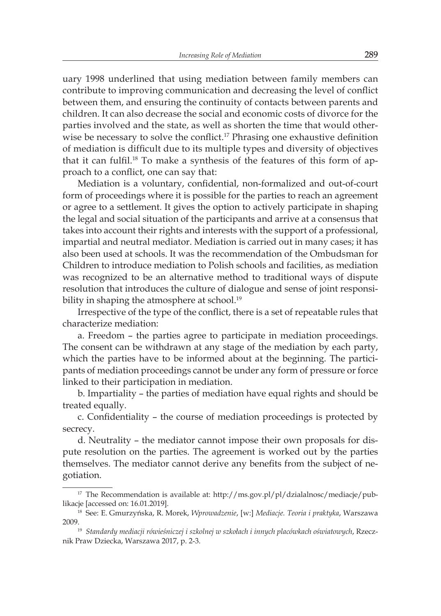uary 1998 underlined that using mediation between family members can contribute to improving communication and decreasing the level of conflict between them, and ensuring the continuity of contacts between parents and children. It can also decrease the social and economic costs of divorce for the parties involved and the state, as well as shorten the time that would otherwise be necessary to solve the conflict.<sup>17</sup> Phrasing one exhaustive definition of mediation is difficult due to its multiple types and diversity of objectives that it can fulfil.<sup>18</sup> To make a synthesis of the features of this form of approach to a conflict, one can say that:

Mediation is a voluntary, confidential, non-formalized and out-of-court form of proceedings where it is possible for the parties to reach an agreement or agree to a settlement. It gives the option to actively participate in shaping the legal and social situation of the participants and arrive at a consensus that takes into account their rights and interests with the support of a professional, impartial and neutral mediator. Mediation is carried out in many cases; it has also been used at schools. It was the recommendation of the Ombudsman for Children to introduce mediation to Polish schools and facilities, as mediation was recognized to be an alternative method to traditional ways of dispute resolution that introduces the culture of dialogue and sense of joint responsibility in shaping the atmosphere at school.<sup>19</sup>

Irrespective of the type of the conflict, there is a set of repeatable rules that characterize mediation:

a. Freedom – the parties agree to participate in mediation proceedings. The consent can be withdrawn at any stage of the mediation by each party, which the parties have to be informed about at the beginning. The participants of mediation proceedings cannot be under any form of pressure or force linked to their participation in mediation.

b. Impartiality – the parties of mediation have equal rights and should be treated equally.

c. Confidentiality – the course of mediation proceedings is protected by secrecy.

d. Neutrality – the mediator cannot impose their own proposals for dispute resolution on the parties. The agreement is worked out by the parties themselves. The mediator cannot derive any benefits from the subject of negotiation.

<sup>&</sup>lt;sup>17</sup> The Recommendation is available at: http://ms.gov.pl/pl/dzialalnosc/mediacje/publikacje [accessed on: 16.01.2019].

<sup>18</sup> See: E. Gmurzyńska, R. Morek, *Wprowadzenie*, [w:] *Mediacje. Teoria i praktyka*, Warszawa 2009.19 *Standardy mediacji rówieśniczej i szkolnej w szkołach i innych placówkach oświatowych*, Rzecz-

nik Praw Dziecka, Warszawa 2017, p. 2-3.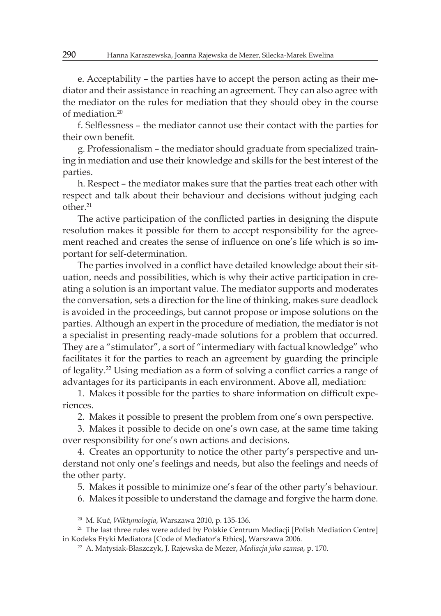e. Acceptability – the parties have to accept the person acting as their mediator and their assistance in reaching an agreement. They can also agree with the mediator on the rules for mediation that they should obey in the course of mediation.<sup>20</sup>

f. Selflessness – the mediator cannot use their contact with the parties for their own benefit.

g. Professionalism – the mediator should graduate from specialized training in mediation and use their knowledge and skills for the best interest of the parties.

h. Respect – the mediator makes sure that the parties treat each other with respect and talk about their behaviour and decisions without judging each other.<sup>21</sup>

The active participation of the conflicted parties in designing the dispute resolution makes it possible for them to accept responsibility for the agreement reached and creates the sense of influence on one's life which is so important for self-determination.

The parties involved in a conflict have detailed knowledge about their situation, needs and possibilities, which is why their active participation in creating a solution is an important value. The mediator supports and moderates the conversation, sets a direction for the line of thinking, makes sure deadlock is avoided in the proceedings, but cannot propose or impose solutions on the parties. Although an expert in the procedure of mediation, the mediator is not a specialist in presenting ready-made solutions for a problem that occurred. They are a "stimulator", a sort of "intermediary with factual knowledge" who facilitates it for the parties to reach an agreement by guarding the principle of legality.<sup>22</sup> Using mediation as a form of solving a conflict carries a range of advantages for its participants in each environment. Above all, mediation:

1. Makes it possible for the parties to share information on difficult experiences.

2. Makes it possible to present the problem from one's own perspective.

3. Makes it possible to decide on one's own case, at the same time taking over responsibility for one's own actions and decisions.

4. Creates an opportunity to notice the other party's perspective and understand not only one's feelings and needs, but also the feelings and needs of the other party.

5. Makes it possible to minimize one's fear of the other party's behaviour.

6. Makes it possible to understand the damage and forgive the harm done.

<sup>20</sup> M. Kuć, *Wiktymologia*, Warszawa 2010, p. 135-136.

<sup>&</sup>lt;sup>21</sup> The last three rules were added by Polskie Centrum Mediacji [Polish Mediation Centre] in Kodeks Etyki Mediatora [Code of Mediator's Ethics], Warszawa 2006.

<sup>22</sup> A. Matysiak-Błaszczyk, J. Rajewska de Mezer, *Mediacja jako szansa*, p. 170.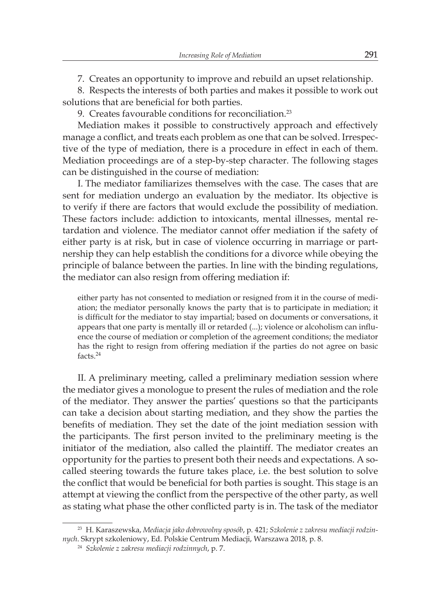7. Creates an opportunity to improve and rebuild an upset relationship.

8. Respects the interests of both parties and makes it possible to work out solutions that are beneficial for both parties.

9. Creates favourable conditions for reconciliation.<sup>23</sup>

Mediation makes it possible to constructively approach and effectively manage a conflict, and treats each problem as one that can be solved. Irrespective of the type of mediation, there is a procedure in effect in each of them. Mediation proceedings are of a step-by-step character. The following stages can be distinguished in the course of mediation:

I. The mediator familiarizes themselves with the case. The cases that are sent for mediation undergo an evaluation by the mediator. Its objective is to verify if there are factors that would exclude the possibility of mediation. These factors include: addiction to intoxicants, mental illnesses, mental retardation and violence. The mediator cannot offer mediation if the safety of either party is at risk, but in case of violence occurring in marriage or partnership they can help establish the conditions for a divorce while obeying the principle of balance between the parties. In line with the binding regulations, the mediator can also resign from offering mediation if:

either party has not consented to mediation or resigned from it in the course of mediation; the mediator personally knows the party that is to participate in mediation; it is difficult for the mediator to stay impartial; based on documents or conversations, it appears that one party is mentally ill or retarded (...); violence or alcoholism can influence the course of mediation or completion of the agreement conditions; the mediator has the right to resign from offering mediation if the parties do not agree on basic facts.<sup>24</sup>

II. A preliminary meeting, called a preliminary mediation session where the mediator gives a monologue to present the rules of mediation and the role of the mediator. They answer the parties' questions so that the participants can take a decision about starting mediation, and they show the parties the benefits of mediation. They set the date of the joint mediation session with the participants. The first person invited to the preliminary meeting is the initiator of the mediation, also called the plaintiff. The mediator creates an opportunity for the parties to present both their needs and expectations. A socalled steering towards the future takes place, i.e. the best solution to solve the conflict that would be beneficial for both parties is sought. This stage is an attempt at viewing the conflict from the perspective of the other party, as well as stating what phase the other conflicted party is in. The task of the mediator

<sup>23</sup> H. Karaszewska, *Mediacja jako dobrowolny sposób*, p. 421; *Szkolenie z zakresu mediacji rodzinnych*. Skrypt szkoleniowy, Ed. Polskie Centrum Mediacji, Warszawa 2018, p. 8.

<sup>24</sup> *Szkolenie z zakresu mediacji rodzinnych*, p. 7.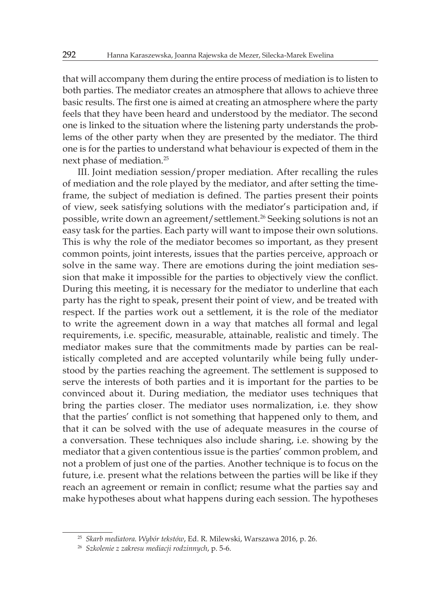that will accompany them during the entire process of mediation is to listen to both parties. The mediator creates an atmosphere that allows to achieve three basic results. The first one is aimed at creating an atmosphere where the party feels that they have been heard and understood by the mediator. The second one is linked to the situation where the listening party understands the problems of the other party when they are presented by the mediator. The third one is for the parties to understand what behaviour is expected of them in the next phase of mediation.<sup>25</sup>

III. Joint mediation session/proper mediation. After recalling the rules of mediation and the role played by the mediator, and after setting the timeframe, the subject of mediation is defined. The parties present their points of view, seek satisfying solutions with the mediator's participation and, if possible, write down an agreement/settlement.<sup>26</sup> Seeking solutions is not an easy task for the parties. Each party will want to impose their own solutions. This is why the role of the mediator becomes so important, as they present common points, joint interests, issues that the parties perceive, approach or solve in the same way. There are emotions during the joint mediation session that make it impossible for the parties to objectively view the conflict. During this meeting, it is necessary for the mediator to underline that each party has the right to speak, present their point of view, and be treated with respect. If the parties work out a settlement, it is the role of the mediator to write the agreement down in a way that matches all formal and legal requirements, i.e. specific, measurable, attainable, realistic and timely. The mediator makes sure that the commitments made by parties can be realistically completed and are accepted voluntarily while being fully understood by the parties reaching the agreement. The settlement is supposed to serve the interests of both parties and it is important for the parties to be convinced about it. During mediation, the mediator uses techniques that bring the parties closer. The mediator uses normalization, i.e. they show that the parties' conflict is not something that happened only to them, and that it can be solved with the use of adequate measures in the course of a conversation. These techniques also include sharing, i.e. showing by the mediator that a given contentious issue is the parties' common problem, and not a problem of just one of the parties. Another technique is to focus on the future, i.e. present what the relations between the parties will be like if they reach an agreement or remain in conflict; resume what the parties say and make hypotheses about what happens during each session. The hypotheses

<sup>25</sup> *Skarb mediatora. Wybór tekstów*, Ed. R. Milewski, Warszawa 2016, p. 26.

<sup>26</sup> *Szkolenie z zakresu mediacji rodzinnych*, p. 5-6.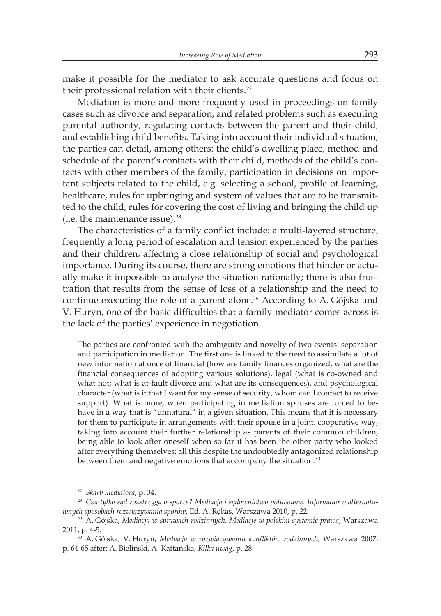make it possible for the mediator to ask accurate questions and focus on their professional relation with their clients.<sup>27</sup>

Mediation is more and more frequently used in proceedings on family cases such as divorce and separation, and related problems such as executing parental authority, regulating contacts between the parent and their child, and establishing child benefits. Taking into account their individual situation, the parties can detail, among others: the child's dwelling place, method and schedule of the parent's contacts with their child, methods of the child's contacts with other members of the family, participation in decisions on important subjects related to the child, e.g. selecting a school, profile of learning, healthcare, rules for upbringing and system of values that are to be transmitted to the child, rules for covering the cost of living and bringing the child up (i.e. the maintenance issue). $28$ 

The characteristics of a family conflict include: a multi-layered structure, frequently a long period of escalation and tension experienced by the parties and their children, affecting a close relationship of social and psychological importance. During its course, there are strong emotions that hinder or actually make it impossible to analyse the situation rationally; there is also frustration that results from the sense of loss of a relationship and the need to continue executing the role of a parent alone.<sup>29</sup> According to A. Gójska and V. Huryn, one of the basic difficulties that a family mediator comes across is the lack of the parties' experience in negotiation.

The parties are confronted with the ambiguity and novelty of two events: separation and participation in mediation. The first one is linked to the need to assimilate a lot of new information at once of financial (how are family finances organized, what are the financial consequences of adopting various solutions), legal (what is co-owned and what not; what is at-fault divorce and what are its consequences), and psychological character (what is it that I want for my sense of security, whom can I contact to receive support). What is more, when participating in mediation spouses are forced to behave in a way that is "unnatural" in a given situation. This means that it is necessary for them to participate in arrangements with their spouse in a joint, cooperative way, taking into account their further relationship as parents of their common children, being able to look after oneself when so far it has been the other party who looked after everything themselves; all this despite the undoubtedly antagonized relationship between them and negative emotions that accompany the situation. $30$ 

<sup>27</sup> *Skarb mediatora*, p. 34.

<sup>28</sup> *Czy tylko sąd rozstrzyga o sporze? Mediacja i sądownictwo polubowne. Informator o alternatywnych sposobach rozwiązywania sporów*, Ed. A. Rękas, Warszawa 2010, p. 22.

<sup>29</sup> A. Gójska, *Mediacja w sprawach rodzinnych. Mediacje w polskim systemie prawa*, Warszawa 2011, p. 4-5.

<sup>30</sup> A. Gójska, V. Huryn, *Mediacja w rozwiązywaniu konfliktów rodzinnych*, Warszawa 2007, p. 64-65 after: A. Bieliński, A. Kaftańska, *Kilka uwag*, p. 28.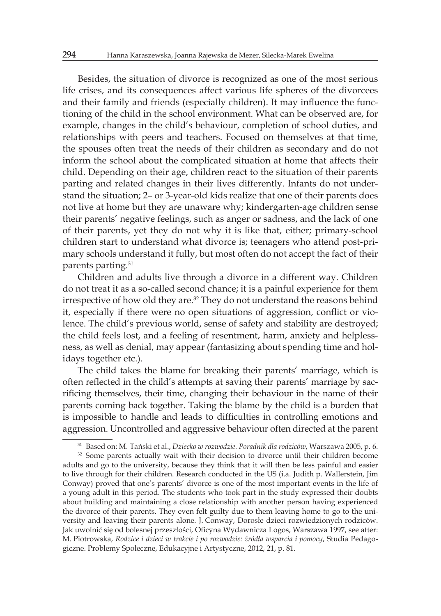Besides, the situation of divorce is recognized as one of the most serious life crises, and its consequences affect various life spheres of the divorcees and their family and friends (especially children). It may influence the functioning of the child in the school environment. What can be observed are, for example, changes in the child's behaviour, completion of school duties, and relationships with peers and teachers. Focused on themselves at that time, the spouses often treat the needs of their children as secondary and do not inform the school about the complicated situation at home that affects their child. Depending on their age, children react to the situation of their parents parting and related changes in their lives differently. Infants do not understand the situation; 2– or 3-year-old kids realize that one of their parents does not live at home but they are unaware why; kindergarten-age children sense their parents' negative feelings, such as anger or sadness, and the lack of one of their parents, yet they do not why it is like that, either; primary-school children start to understand what divorce is; teenagers who attend post-primary schools understand it fully, but most often do not accept the fact of their parents parting.<sup>31</sup>

Children and adults live through a divorce in a different way. Children do not treat it as a so-called second chance; it is a painful experience for them irrespective of how old they are.<sup>32</sup> They do not understand the reasons behind it, especially if there were no open situations of aggression, conflict or violence. The child's previous world, sense of safety and stability are destroyed; the child feels lost, and a feeling of resentment, harm, anxiety and helplessness, as well as denial, may appear (fantasizing about spending time and holidays together etc.).

The child takes the blame for breaking their parents' marriage, which is often reflected in the child's attempts at saving their parents' marriage by sacrificing themselves, their time, changing their behaviour in the name of their parents coming back together. Taking the blame by the child is a burden that is impossible to handle and leads to difficulties in controlling emotions and aggression. Uncontrolled and aggressive behaviour often directed at the parent

<sup>31</sup> Based on: M. Tański et al., *Dziecko w rozwodzie. Poradnik dla rodziców*, Warszawa 2005, p. 6.

<sup>&</sup>lt;sup>32</sup> Some parents actually wait with their decision to divorce until their children become adults and go to the university, because they think that it will then be less painful and easier to live through for their children. Research conducted in the US (i.a. Judith p. Wallerstein, Jim Conway) proved that one's parents' divorce is one of the most important events in the life of a young adult in this period. The students who took part in the study expressed their doubts about building and maintaining a close relationship with another person having experienced the divorce of their parents. They even felt guilty due to them leaving home to go to the university and leaving their parents alone. J. Conway, Dorosłe dzieci rozwiedzionych rodziców. Jak uwolnić się od bolesnej przeszłości, Oficyna Wydawnicza Logos, Warszawa 1997, see after: M. Piotrowska, *Rodzice i dzieci w trakcie i po rozwodzie: źródła wsparcia i pomocy*, Studia Pedagogiczne. Problemy Społeczne, Edukacyjne i Artystyczne, 2012, 21, p. 81.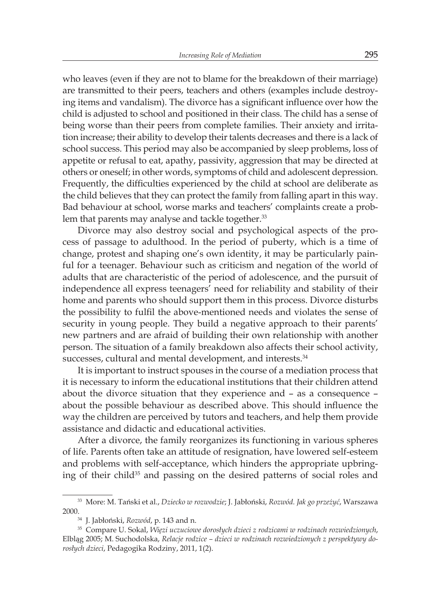who leaves (even if they are not to blame for the breakdown of their marriage) are transmitted to their peers, teachers and others (examples include destroying items and vandalism). The divorce has a significant influence over how the child is adjusted to school and positioned in their class. The child has a sense of being worse than their peers from complete families. Their anxiety and irritation increase; their ability to develop their talents decreases and there is a lack of school success. This period may also be accompanied by sleep problems, loss of appetite or refusal to eat, apathy, passivity, aggression that may be directed at others or oneself; in other words, symptoms of child and adolescent depression. Frequently, the difficulties experienced by the child at school are deliberate as the child believes that they can protect the family from falling apart in this way. Bad behaviour at school, worse marks and teachers' complaints create a problem that parents may analyse and tackle together.<sup>33</sup>

Divorce may also destroy social and psychological aspects of the process of passage to adulthood. In the period of puberty, which is a time of change, protest and shaping one's own identity, it may be particularly painful for a teenager. Behaviour such as criticism and negation of the world of adults that are characteristic of the period of adolescence, and the pursuit of independence all express teenagers' need for reliability and stability of their home and parents who should support them in this process. Divorce disturbs the possibility to fulfil the above-mentioned needs and violates the sense of security in young people. They build a negative approach to their parents' new partners and are afraid of building their own relationship with another person. The situation of a family breakdown also affects their school activity, successes, cultural and mental development, and interests.<sup>34</sup>

It is important to instruct spouses in the course of a mediation process that it is necessary to inform the educational institutions that their children attend about the divorce situation that they experience and – as a consequence – about the possible behaviour as described above. This should influence the way the children are perceived by tutors and teachers, and help them provide assistance and didactic and educational activities.

After a divorce, the family reorganizes its functioning in various spheres of life. Parents often take an attitude of resignation, have lowered self-esteem and problems with self-acceptance, which hinders the appropriate upbringing of their child<sup>35</sup> and passing on the desired patterns of social roles and

<sup>33</sup> More: M. Tański et al., *Dziecko w rozwodzie*; J. Jabłoński, *Rozwód. Jak go przeżyć*, Warszawa 2000.34 J. Jabłoński, *Rozwód*, p. 143 and n.

<sup>35</sup> Compare U. Sokal, *Więzi uczuciowe dorosłych dzieci z rodzicami w rodzinach rozwiedzionych*, Elbląg 2005; M. Suchodolska, *Relacje rodzice – dzieci w rodzinach rozwiedzionych z perspektywy dorosłych dzieci*, Pedagogika Rodziny, 2011, 1(2).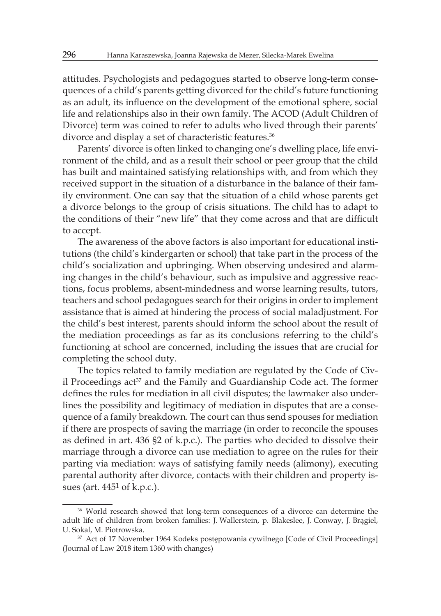attitudes. Psychologists and pedagogues started to observe long-term consequences of a child's parents getting divorced for the child's future functioning as an adult, its influence on the development of the emotional sphere, social life and relationships also in their own family. The ACOD (Adult Children of Divorce) term was coined to refer to adults who lived through their parents' divorce and display a set of characteristic features.<sup>36</sup>

Parents' divorce is often linked to changing one's dwelling place, life environment of the child, and as a result their school or peer group that the child has built and maintained satisfying relationships with, and from which they received support in the situation of a disturbance in the balance of their family environment. One can say that the situation of a child whose parents get a divorce belongs to the group of crisis situations. The child has to adapt to the conditions of their "new life" that they come across and that are difficult to accept.

The awareness of the above factors is also important for educational institutions (the child's kindergarten or school) that take part in the process of the child's socialization and upbringing. When observing undesired and alarming changes in the child's behaviour, such as impulsive and aggressive reactions, focus problems, absent-mindedness and worse learning results, tutors, teachers and school pedagogues search for their origins in order to implement assistance that is aimed at hindering the process of social maladjustment. For the child's best interest, parents should inform the school about the result of the mediation proceedings as far as its conclusions referring to the child's functioning at school are concerned, including the issues that are crucial for completing the school duty.

The topics related to family mediation are regulated by the Code of Civil Proceedings act<sup>37</sup> and the Family and Guardianship Code act. The former defines the rules for mediation in all civil disputes; the lawmaker also underlines the possibility and legitimacy of mediation in disputes that are a consequence of a family breakdown. The court can thus send spouses for mediation if there are prospects of saving the marriage (in order to reconcile the spouses as defined in art. 436 §2 of k.p.c.). The parties who decided to dissolve their marriage through a divorce can use mediation to agree on the rules for their parting via mediation: ways of satisfying family needs (alimony), executing parental authority after divorce, contacts with their children and property issues (art. 4451 of k.p.c.).

<sup>36</sup> World research showed that long-term consequences of a divorce can determine the adult life of children from broken families: J. Wallerstein, p. Blakeslee, J. Conway, J. Brągiel, U. Sokal, M. Piotrowska.

<sup>37</sup> Act of 17 November 1964 Kodeks postępowania cywilnego [Code of Civil Proceedings] (Journal of Law 2018 item 1360 with changes)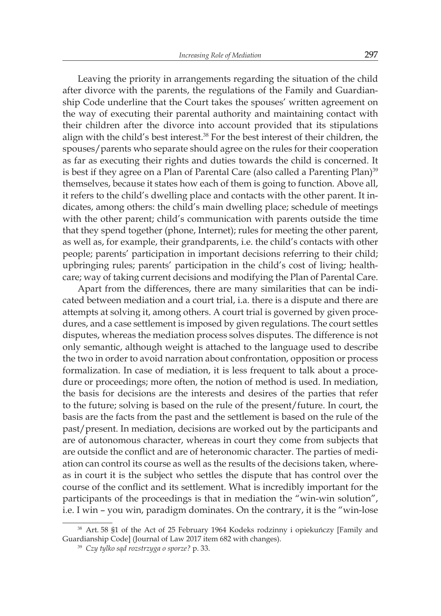Leaving the priority in arrangements regarding the situation of the child after divorce with the parents, the regulations of the Family and Guardianship Code underline that the Court takes the spouses' written agreement on the way of executing their parental authority and maintaining contact with their children after the divorce into account provided that its stipulations align with the child's best interest.<sup>38</sup> For the best interest of their children, the spouses/parents who separate should agree on the rules for their cooperation as far as executing their rights and duties towards the child is concerned. It is best if they agree on a Plan of Parental Care (also called a Parenting Plan)<sup>39</sup> themselves, because it states how each of them is going to function. Above all, it refers to the child's dwelling place and contacts with the other parent. It indicates, among others: the child's main dwelling place; schedule of meetings with the other parent; child's communication with parents outside the time that they spend together (phone, Internet); rules for meeting the other parent, as well as, for example, their grandparents, i.e. the child's contacts with other people; parents' participation in important decisions referring to their child; upbringing rules; parents' participation in the child's cost of living; healthcare; way of taking current decisions and modifying the Plan of Parental Care.

Apart from the differences, there are many similarities that can be indicated between mediation and a court trial, i.a. there is a dispute and there are attempts at solving it, among others. A court trial is governed by given procedures, and a case settlement is imposed by given regulations. The court settles disputes, whereas the mediation process solves disputes. The difference is not only semantic, although weight is attached to the language used to describe the two in order to avoid narration about confrontation, opposition or process formalization. In case of mediation, it is less frequent to talk about a procedure or proceedings; more often, the notion of method is used. In mediation, the basis for decisions are the interests and desires of the parties that refer to the future; solving is based on the rule of the present/future. In court, the basis are the facts from the past and the settlement is based on the rule of the past/present. In mediation, decisions are worked out by the participants and are of autonomous character, whereas in court they come from subjects that are outside the conflict and are of heteronomic character. The parties of mediation can control its course as well as the results of the decisions taken, whereas in court it is the subject who settles the dispute that has control over the course of the conflict and its settlement. What is incredibly important for the participants of the proceedings is that in mediation the "win-win solution", i.e. I win – you win, paradigm dominates. On the contrary, it is the "win-lose

<sup>38</sup> Art. 58 §1 of the Act of 25 February 1964 Kodeks rodzinny i opiekuńczy [Family and Guardianship Code] (Journal of Law 2017 item 682 with changes).

<sup>39</sup> *Czy tylko sąd rozstrzyga o sporze?* p. 33.